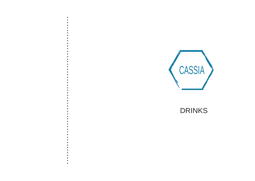- 
- 
- 
- 
- 
- 
- 
- 
- 
- 
- 
- 
- 
- 
- 
- 
- 
- 
- 
- 
- 
- 
- 
- 
- 
- 
- 
- 
- 
- 
- 
- 
- 
- 
- 
- 
- 
- 
- 
- 
- 
- 
- 
- 
- 
- 
- 



# **DRINKS**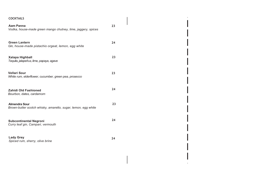| <b>COCKTAILS</b>                                                                      |    |
|---------------------------------------------------------------------------------------|----|
| <b>Aam Panna</b><br>Vodka, house-made green mango chutney, lime, jaggery, spices      | 23 |
| <b>Green Lantern</b><br>Gin, house-made pistachio orgeat, lemon, egg white            | 24 |
| <b>Xalapa Highball</b><br>Tequila, jalapeños, lime, papaya, agave                     | 23 |
| Vellari Sour<br>White rum, elderflower, cucumber, green pea, prosecco                 | 23 |
| Zahidi Old Fashioned<br>Bourbon, dates, cardamom                                      | 24 |
| <b>Almendra Sour</b><br>Brown-butter scotch whisky, amaretto, sugar, lemon, egg white | 23 |
| <b>Subcontinental Negroni</b><br>Curry leaf gin, Campari, vermouth                    | 24 |
| <b>Lady Grey</b><br>Spiced rum, sherry, olive brine                                   | 24 |

 $\mathcal{L}_{\text{max}}$  and  $\mathcal{L}_{\text{max}}$  . The  $\mathcal{L}_{\text{max}}$  $\mathbb T$ 

ш

ш

 $\mathbf{L}^{\mathrm{max}}$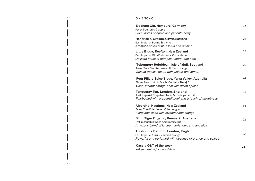## **GIN & TONIC**

 $\mathbf{H}^{\mathrm{eff}}$ 

 $\mathbf{1}^{\top}$ 

| <b>Elephant Gin, Hamburg, Germany</b><br>Fever Tree tonic & apple<br>Floral notes of apple and pimento berry                                            | 22 |
|---------------------------------------------------------------------------------------------------------------------------------------------------------|----|
| Hendrick's, Orbium, Girvan, Scotland<br>East Imperial Burma & thyme<br>Aromatic notes of blue lotus and quinine                                         | 24 |
| Little Biddy, Reefton, New Zealand<br>East Imperial Old World tonic & mandarin<br>Delicate notes of horopito, totara, and rimu                          | 24 |
| <b>Tobermory Hebridean, Isle of Mull, Scotland</b><br>Fever Tree Mediterranean & fresh orange<br>Spiced tropical notes with juniper and lemon           | 22 |
| Four Pillars Spice Trade, Yarra Valley, Australia<br>Quina Fina tonic & Peach (Contains Nuts) *<br>Crisp, vibrant orange peel with warm spices          | 24 |
| <b>Tanqueray Ten, London, England</b><br>East Imperial Grapefruit tonic & fresh grapefruit<br>Full-bodied with grapefruit peel and a touch of sweetness | 23 |
| Albertine, Hastings, New Zealand<br>Fever Tree Elderflower & Lemongrass<br>Floral and clean with lavender and orange                                    | 23 |
| <b>Blind Tiger Organic, Renmark, Australia</b><br>East Imperial Old World & fresh grapefruit<br>An exotic blend of juniper, coriander, and angelica     | 22 |
| Ableforth's Bathtub, London, England<br>East Imperial Yuzu & candied orange<br>Powerful and perfumed with essence of orange and spices                  | 22 |
| <b>Cassia G&amp;T of the week</b><br>Ask your waiter for more details                                                                                   | 23 |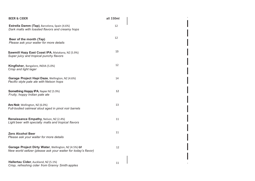| <b>BEER &amp; CIDER</b>                                                                                               | all 330ml |
|-----------------------------------------------------------------------------------------------------------------------|-----------|
| Estrella Damm (Tap), Barcelona, Spain (4.6%)<br>Dark malts with toasted flavors and creamy hops                       | 12        |
| Beer of the month (Tap)<br>Please ask your waiter for more details                                                    | 12        |
| Sawmill Hazy East Coast IPA, Matakana, NZ (5.9%)<br>Super juicy and tropical punchy flavors                           | 13        |
| Kingfisher, Bangalore, INDIA (5.0%)<br>Crisp and light lager                                                          | 12        |
| Garage Project Hapi Daze, Wellington, NZ (4.6%)<br>Pacific-style pale ale with Nelson hops                            | 14        |
| <b>Something Hoppy IPA, Napier NZ (5.9%)</b><br>Fruity, hoppy Indian pale ale                                         | 12        |
| Aro Noir, Wellington, NZ (6.0%)<br>Full-bodied oatmeal stout aged in pinot noir barrels                               | 13        |
| Renaissance Empathy, Nelson, NZ (2.4%)<br>Light beer with specialty malts and tropical flavors                        | 11        |
| <b>Zero Alcohol Beer</b><br>Please ask your waiter for more details                                                   | 11        |
| Garage Project Dirty Water, Wellington, NZ (4.5%) GF<br>New world seltzer (please ask your waiter for today's flavor) | 12        |
| Hallertau Cider, Auckland, NZ (5.1%)<br>Crisp, refreshing cider from Granny Smith apples                              | 11        |

 $\mathbf{L}$ 

 $\pm$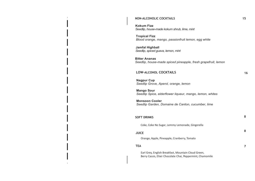#### **NON-ALCOHOLIC COCKTAILS 15**

**Kokum Fizz** *Seedlip, house-made kokum shrub, lime, mint*

**Tropical Fizz** *Blood orange, mango, passionfruit lemon, egg white*

**Jamfal Highball** *Seedlip, spiced guava, lemon, mint*

**Bitter Ananas** *Seedlip, house-made spiced pineapple, fresh grapefruit, lemon*

### **LOW-ALCOHOL COCKTAILS 16**

**Nagpur Cup** *Seedlip Grove, Aperol, orange, lemon*

**Mango Sour** *Seedlip Spice, elderflower liqueur, mango, lemon, whites*

**Monsoon Cooler** *Seedlip Garden, Domaine de Canton, cucumber, lime*

| <b>SOFT DRINKS</b> |  |  |
|--------------------|--|--|
|--------------------|--|--|

Coke, Coke No Sugar, Lemmy Lemonade, Gingerella

# **JUICE<sup>8</sup>**

Orange, Apple, Pineapple, Cranberry, Tomato

### **TEA 7**

Earl Grey, English Breakfast, Mountain Cloud Green, Berry Cassis, Elixir Chocolate Chai, Peppermint, Chamomile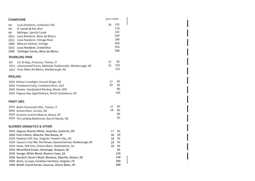| <b>CHAMPAGNE</b>                                                                                                                                                                                                                                                                                                                                                                                                                                         | glass / bottle             |                                                      |
|----------------------------------------------------------------------------------------------------------------------------------------------------------------------------------------------------------------------------------------------------------------------------------------------------------------------------------------------------------------------------------------------------------------------------------------------------------|----------------------------|------------------------------------------------------|
| Louis Roederer, Collection 242<br>NV.<br>H. Lanvin & Fils, Brut<br>NV<br><b>NV</b><br>Bollinger, Special Cuvée<br>Louis Roederer, Blanc de Blancs<br>2013<br>Louis Roederer, Vintage Rosé<br>2011<br>Billecart-Salmon, Vintage<br>2009<br>2012<br>Louis Roederer, Cristal Brut<br>Taittinger Comte, Blanc de Blancs<br>2008                                                                                                                              | 26                         | 155<br>110<br>165<br>260<br>280<br>450<br>550<br>550 |
| <b>SPARKLING WINE</b>                                                                                                                                                                                                                                                                                                                                                                                                                                    |                            |                                                      |
| <b>NV</b><br>Ca' Di Rajo, Prosecco, Treviso, IT<br>2011 Johanneshof Emmi, Methode Traditionelle, Marlborough, NZ<br>2017 Huia, Blanc De Blancs, Marlborough, NZ                                                                                                                                                                                                                                                                                          | 17<br>22                   | 85<br>110<br>110                                     |
| <b>RIESLING</b>                                                                                                                                                                                                                                                                                                                                                                                                                                          |                            |                                                      |
| 2019 Misha's Limelight, Central Otago, NZ<br>2019 Frankland Estate, Frankland River, AUS<br>2020 Kerpen, Handpicked Riesling, Mosel, GER<br>2010 Pegasus Bay Aged Release, North Canterbury, NZ                                                                                                                                                                                                                                                          | 17<br>19                   | 85<br>95<br>80<br>150                                |
| <b>PINOT GRIS</b>                                                                                                                                                                                                                                                                                                                                                                                                                                        |                            |                                                      |
| 2019 Bedin Onorevole DOC, Treviso, IT<br>2020 Kumeu River, Kumeu, NZ<br>2019 Gustave Lorentz Réserve, Alsace, FR<br>2020 The Landing Boathouse, Bay of Islands, NZ                                                                                                                                                                                                                                                                                       | 17<br>18                   | 85<br>90<br>80<br>95                                 |
| <b>BLENDED AROMATICS &amp; OTHER</b>                                                                                                                                                                                                                                                                                                                                                                                                                     |                            |                                                      |
| 2019 Argyros Atlantis White, Assyrtiko, Santorini, GR<br>2020 Pazo Cilleiro, Albariño, Rías Baixas, SP<br>2019 Elephant Hill, Sea, Viognier, Hawke's Bay, NZ<br>2020 Lawson's Dry Hills, The Pioneer, Gewürztraminer, Marlborough, NZ<br>2019 Raats, Old Vine, Chenin Blanc, Stellenbosch, SA<br>2016 Mountford Estate, Hommage, Waipara, NZ<br>2016 Savage, White Blend, Western Cape, SA<br>2020 Neudorf, Rosie's Block, Moutere, Albariño, Nelson, NZ | 17<br>18<br>19<br>19<br>19 | 85<br>90<br>95<br>95<br>95<br>95<br>120<br>140       |
| 2020 Gerin, La Loye, Condrieu Verchery, Viognier, FR<br>1990 Brédif, Grand Année, Vouvray, Chenin Blanc, FR                                                                                                                                                                                                                                                                                                                                              |                            | 280<br>380                                           |

 $\mathcal{L}^{\text{max}}_{\text{max}}$  and  $\mathcal{L}^{\text{max}}_{\text{max}}$ 

U.

 $\mathcal{L}^{\text{max}}_{\text{max}}$  and  $\mathcal{L}^{\text{max}}_{\text{max}}$  . The set of  $\mathcal{L}^{\text{max}}_{\text{max}}$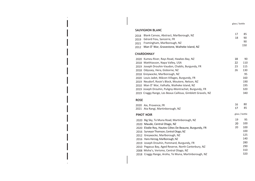glass / bottle

### **SAUVIGNON BLANC**

 $\mathbf{H}^{\mathrm{eff}}$ 

 $\mathbf{L}$ 

| 2018 Blank Canvas, Abstract, Marlborough, NZ    |    | 85  |
|-------------------------------------------------|----|-----|
|                                                 | 18 | 90  |
| 2019 Gérard Fiou, Sancerre, FR                  |    | 90  |
| 2021 Framingham, Marlborough, NZ                |    | 150 |
| 2012 Man O' War, Gravestone, Waiheke Island, NZ |    |     |

### **CHARDONNAY**

| 2020 Kumeu River, Rays Road, Hawkes Bay, NZ                 | 18 | 90  |
|-------------------------------------------------------------|----|-----|
| 2018 Matthiasson, Napa Valley, USA                          | 22 | 110 |
| 2019 Joseph Drouhin-Vaudon, Chablis, Burgundy, FR           | 23 | 115 |
| 2018 Odyssey, Hera, Gisborne, NZ                            | 26 | 130 |
| 2018 Greywacke, Marlborough, NZ                             |    | 95  |
| 2020 Louis Jadot, Mâcon-Villages, Burgundy, FR              |    | 160 |
| 2019 Neudorf, Rosie's Block, Moutere, Nelson, NZ            |    | 190 |
| 2010 Man O' War, Valhalla, Waiheke Island, NZ               |    | 195 |
| 2019 Joseph Drouhin, Puligny-Montrachet, Burgundy, FR       |    | 320 |
| 2019 Craggy Range, Les Beaux Cailloux, Gimblett Gravels, NZ |    | 340 |

### **ROSE**

|                   | 2020 Aix, Provence, FR<br>2021 Ata Rangi, Martinborough, NZ | 16<br>17       | 80<br>85 |
|-------------------|-------------------------------------------------------------|----------------|----------|
| <b>PINOT NOIR</b> |                                                             | glass / bottle |          |
|                   | 2020 Big Sky, Te Muna Road, Martinborough, NZ               | 19             | 95       |
|                   | 2020 Maude, Central Otago, NZ                               | 20             | 100      |
|                   | 2020 Elodie Roy, Hautes Côtes De Beaune, Burgundy, FR       | 20             | 100      |
|                   | 2016 Surveyor Thomson, Central Otago, NZ                    |                | 100      |
|                   | 2012 Greywacke, Marlborough, NZ                             |                | 125      |
|                   | 2016 Hans Herzog, Marlborough, NZ                           |                | 140      |
|                   | 2019 Joseph Drouhin, Pommard, Burgundy, FR                  |                | 280      |
|                   | 2010 Pegasus Bay, Aged Reserve, North Canterbury, NZ        |                | 290      |
|                   | 2008 Misha's, Verismo, Central Otago, NZ                    |                | 310      |
|                   | 2018 Craggy Range, Aroha, Te Muna, Martinborough, NZ        |                | 320      |
|                   |                                                             |                |          |